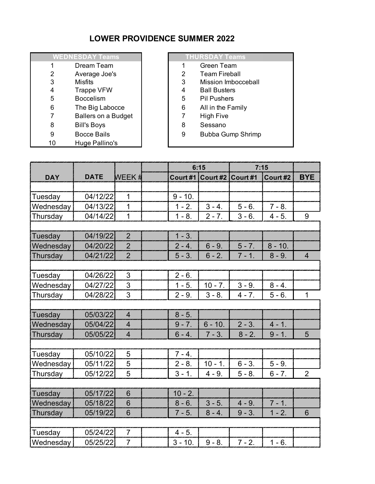## **LOWER PROVIDENCE SUMMER 2022**

| <b>WEDNESDAY Teams</b> |                            |                |
|------------------------|----------------------------|----------------|
| 1                      | Dream Team                 | 1              |
| 2                      | Average Joe's              | 2              |
| 3                      | <b>Misfits</b>             | 3              |
| 4                      | <b>Trappe VFW</b>          | 4              |
| 5                      | <b>Boccelism</b>           | 5              |
| 6                      | The Big Labocce            | 6              |
| 7                      | <b>Ballers on a Budget</b> | $\overline{7}$ |
| 8                      | <b>Bill's Boys</b>         | 8              |
| 9                      | <b>Bocce Bails</b>         | 9              |
| 10                     | Huge Pallino's             |                |

## **WEDNESDAY Teams THURSDAY Teams**

- 1 Green Team
- 2 2 Team Fireball
- 3 3 Mission Imbocceball
- 4 Ball Busters<br>5 Pil Pushers
- Pil Pushers
- 6 All in the Family
- 7 High Five
- Sessano
- 9 Bubba Gump Shrimp

|            |             |                          | 6:15 |           | 7:15              |          |           |                |
|------------|-------------|--------------------------|------|-----------|-------------------|----------|-----------|----------------|
| <b>DAY</b> | <b>DATE</b> | WEEK #                   |      | Court #1  | Court #2 Court #1 |          | Court #2  | <b>BYE</b>     |
|            |             |                          |      |           |                   |          |           |                |
| Tuesday    | 04/12/22    | $\mathbf{1}$             |      | $9 - 10.$ |                   |          |           |                |
| Wednesday  | 04/13/22    | $\overline{1}$           |      | $1 - 2.$  | $3 - 4.$          | $5 - 6.$ | $7 - 8.$  |                |
| Thursday   | 04/14/22    | $\mathbf{1}$             |      | $1 - 8.$  | $2 - 7.$          | $3 - 6.$ | $4 - 5.$  | 9              |
|            |             |                          |      |           |                   |          |           |                |
| Tuesday    | 04/19/22    | $\overline{2}$           |      | $1 - 3.$  |                   |          |           |                |
| Wednesday  | 04/20/22    | $\overline{2}$           |      | $2 - 4.$  | $6 - 9.$          | $5 - 7.$ | $8 - 10.$ |                |
| Thursday   | 04/21/22    | $\overline{2}$           |      | $5 - 3.$  | $6 - 2$ .         | $7 - 1.$ | $8 - 9.$  | $\overline{4}$ |
|            |             |                          |      |           |                   |          |           |                |
| Tuesday    | 04/26/22    | 3                        |      | $2 - 6.$  |                   |          |           |                |
| Wednesday  | 04/27/22    | $\overline{3}$           |      | $1 - 5.$  | $10 - 7.$         | $3 - 9.$ | $8 - 4.$  |                |
| Thursday   | 04/28/22    | 3                        |      | $2 - 9.$  | $3 - 8.$          | $4 - 7.$ | $5 - 6.$  | $\mathbf{1}$   |
|            |             |                          |      |           |                   |          |           |                |
| Tuesday    | 05/03/22    | $\overline{\mathcal{A}}$ |      | $8 - 5.$  |                   |          |           |                |
| Wednesday  | 05/04/22    | $\overline{4}$           |      | $9 - 7.$  | $6 - 10.$         | $2 - 3.$ | $4 - 1$ . |                |
| Thursday   | 05/05/22    | $\overline{4}$           |      | $6 - 4.$  | $7 - 3.$          | $8 - 2.$ | $9 - 1.$  | 5              |
|            |             |                          |      |           |                   |          |           |                |
| Tuesday    | 05/10/22    | 5                        |      | $7 - 4.$  |                   |          |           |                |
| Wednesday  | 05/11/22    | 5                        |      | $2 - 8.$  | $10 - 1.$         | $6 - 3.$ | $5 - 9.$  |                |
| Thursday   | 05/12/22    | 5                        |      | $3 - 1$ . | $4 - 9.$          | $5 - 8.$ | $6 - 7.$  | $\overline{2}$ |
|            |             |                          |      |           |                   |          |           |                |
| Tuesday    | 05/17/22    | $6\phantom{1}$           |      | $10 - 2.$ |                   |          |           |                |
| Wednesday  | 05/18/22    | 6                        |      | $8 - 6.$  | $3 - 5.$          | $4 - 9.$ | $7 - 1.$  |                |
| Thursday   | 05/19/22    | 6                        |      | $7 - 5.$  | $8 - 4.$          | $9 - 3.$ | $1 - 2.$  | 6              |
|            |             |                          |      |           |                   |          |           |                |
| Tuesday    | 05/24/22    | $\overline{7}$           |      | $4 - 5.$  |                   |          |           |                |
| Wednesday  | 05/25/22    | $\overline{7}$           |      | $3 - 10.$ | $9 - 8.$          | $7 - 2.$ | $1 - 6.$  |                |